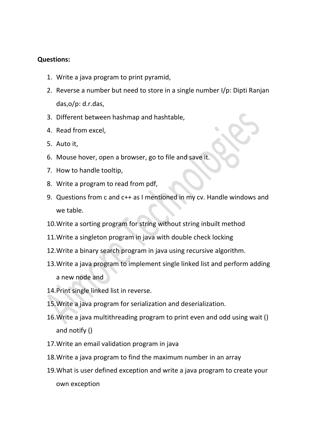## **Questions:**

- 1. Write a java program to print pyramid,
- 2. Reverse a number but need to store in a single number I/p: Dipti Ranjan das,o/p: d.r.das,
- 3. Different between hashmap and hashtable,
- 4. Read from excel,
- 5. Auto it,
- 6. Mouse hover, open a browser, go to file and save it.
- 7. How to handle tooltip,
- 8. Write a program to read from pdf,
- 9. Questions from c and c++ as I mentioned in my cv. Handle windows and we table.
- 10.Write a sorting program for string without string inbuilt method
- 11.Write a singleton program in java with double check locking
- 12.Write a binary search program in java using recursive algorithm.
- 13.Write a java program to implement single linked list and perform adding a new node and
- 14.Print single linked list in reverse.
- 15.Write a java program for serialization and deserialization.
- 16.Write a java multithreading program to print even and odd using wait () and notify ()
- 17.Write an email validation program in java
- 18.Write a java program to find the maximum number in an array
- 19.What is user defined exception and write a java program to create your own exception